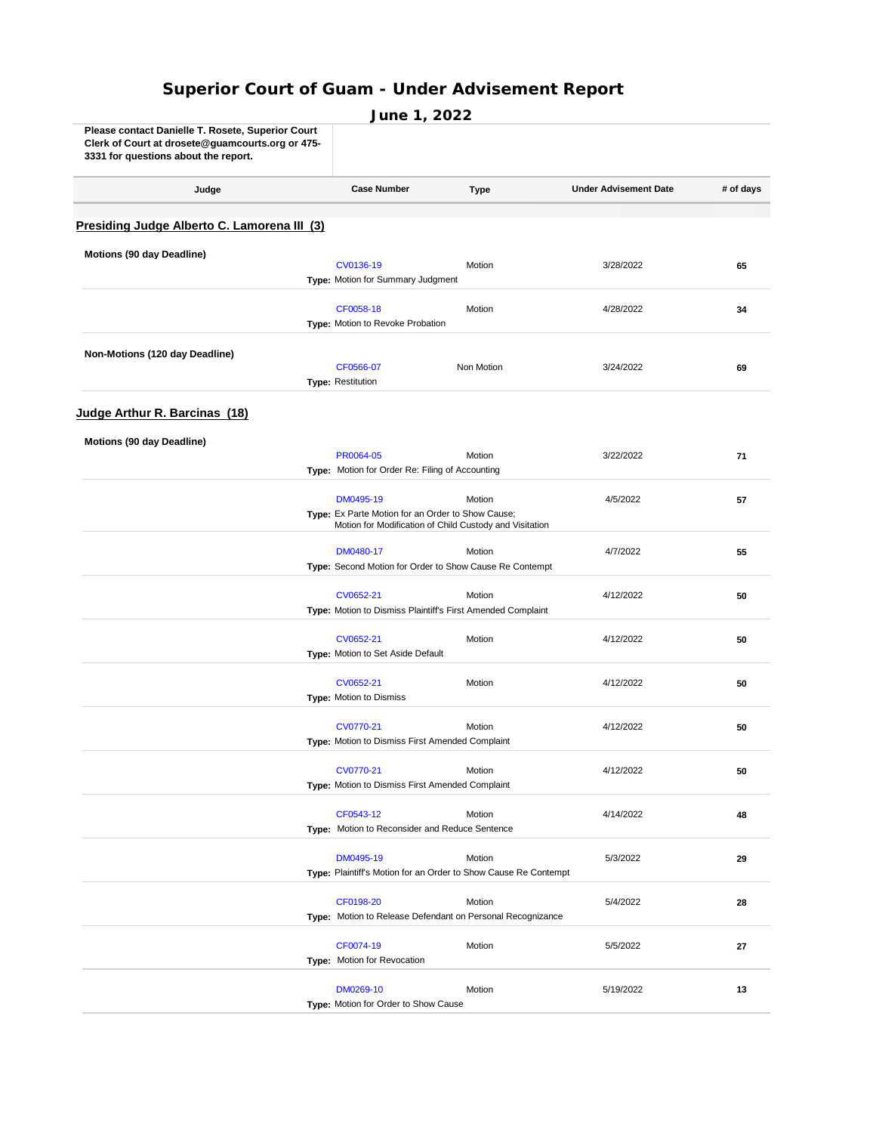## **Superior Court of Guam - Under Advisement Report**

| Please contact Danielle 1. Rosete, Superior Court<br>Clerk of Court at drosete@guamcourts.org or 475-<br>3331 for questions about the report. |                                                              |                                                                 |                              |           |
|-----------------------------------------------------------------------------------------------------------------------------------------------|--------------------------------------------------------------|-----------------------------------------------------------------|------------------------------|-----------|
| Judge                                                                                                                                         | <b>Case Number</b>                                           | Type                                                            | <b>Under Advisement Date</b> | # of days |
| Presiding Judge Alberto C. Lamorena III (3)                                                                                                   |                                                              |                                                                 |                              |           |
| Motions (90 day Deadline)                                                                                                                     |                                                              |                                                                 |                              |           |
|                                                                                                                                               | CV0136-19<br><b>Type: Motion for Summary Judgment</b>        | Motion                                                          | 3/28/2022                    | 65        |
|                                                                                                                                               |                                                              |                                                                 |                              |           |
|                                                                                                                                               | CF0058-18<br>Type: Motion to Revoke Probation                | Motion                                                          | 4/28/2022                    | 34        |
|                                                                                                                                               |                                                              |                                                                 |                              |           |
| Non-Motions (120 day Deadline)                                                                                                                |                                                              |                                                                 |                              |           |
|                                                                                                                                               | CF0566-07<br>Type: Restitution                               | Non Motion                                                      | 3/24/2022                    | 69        |
|                                                                                                                                               |                                                              |                                                                 |                              |           |
| Judge Arthur R. Barcinas (18)                                                                                                                 |                                                              |                                                                 |                              |           |
| Motions (90 day Deadline)                                                                                                                     |                                                              |                                                                 |                              |           |
|                                                                                                                                               | PR0064-05                                                    | Motion                                                          | 3/22/2022                    | 71        |
|                                                                                                                                               | Type: Motion for Order Re: Filing of Accounting              |                                                                 |                              |           |
|                                                                                                                                               | DM0495-19                                                    | Motion                                                          | 4/5/2022                     | 57        |
|                                                                                                                                               | Type: Ex Parte Motion for an Order to Show Cause;            |                                                                 |                              |           |
|                                                                                                                                               |                                                              | Motion for Modification of Child Custody and Visitation         |                              |           |
|                                                                                                                                               | DM0480-17                                                    | Motion                                                          | 4/7/2022                     | 55        |
|                                                                                                                                               | Type: Second Motion for Order to Show Cause Re Contempt      |                                                                 |                              |           |
|                                                                                                                                               | CV0652-21                                                    | Motion                                                          | 4/12/2022                    | 50        |
|                                                                                                                                               | Type: Motion to Dismiss Plaintiff's First Amended Complaint  |                                                                 |                              |           |
|                                                                                                                                               | CV0652-21                                                    | Motion                                                          | 4/12/2022                    | 50        |
|                                                                                                                                               | Type: Motion to Set Aside Default                            |                                                                 |                              |           |
|                                                                                                                                               | CV0652-21                                                    | Motion                                                          | 4/12/2022                    | 50        |
|                                                                                                                                               | Type: Motion to Dismiss                                      |                                                                 |                              |           |
|                                                                                                                                               |                                                              |                                                                 |                              |           |
|                                                                                                                                               | CV0770-21<br>Type: Motion to Dismiss First Amended Complaint | Motion                                                          | 4/12/2022                    | 50        |
|                                                                                                                                               |                                                              |                                                                 |                              |           |
|                                                                                                                                               | CV0770-21                                                    | Motion                                                          | 4/12/2022                    | 50        |
|                                                                                                                                               | Type: Motion to Dismiss First Amended Complaint              |                                                                 |                              |           |
|                                                                                                                                               | CF0543-12                                                    | Motion                                                          | 4/14/2022                    | 48        |
|                                                                                                                                               | Type: Motion to Reconsider and Reduce Sentence               |                                                                 |                              |           |
|                                                                                                                                               | DM0495-19                                                    | Motion                                                          | 5/3/2022                     | 29        |
|                                                                                                                                               |                                                              | Type: Plaintiff's Motion for an Order to Show Cause Re Contempt |                              |           |
|                                                                                                                                               | CF0198-20                                                    | Motion                                                          |                              |           |
|                                                                                                                                               |                                                              | Type: Motion to Release Defendant on Personal Recognizance      | 5/4/2022                     | 28        |
|                                                                                                                                               |                                                              |                                                                 |                              |           |
|                                                                                                                                               | CF0074-19                                                    | Motion                                                          | 5/5/2022                     | 27        |
|                                                                                                                                               | <b>Type:</b> Motion for Revocation                           |                                                                 |                              |           |
|                                                                                                                                               | DM0269-10                                                    | Motion                                                          | 5/19/2022                    | 13        |
|                                                                                                                                               | Type: Motion for Order to Show Cause                         |                                                                 |                              |           |

**June 1, 2022**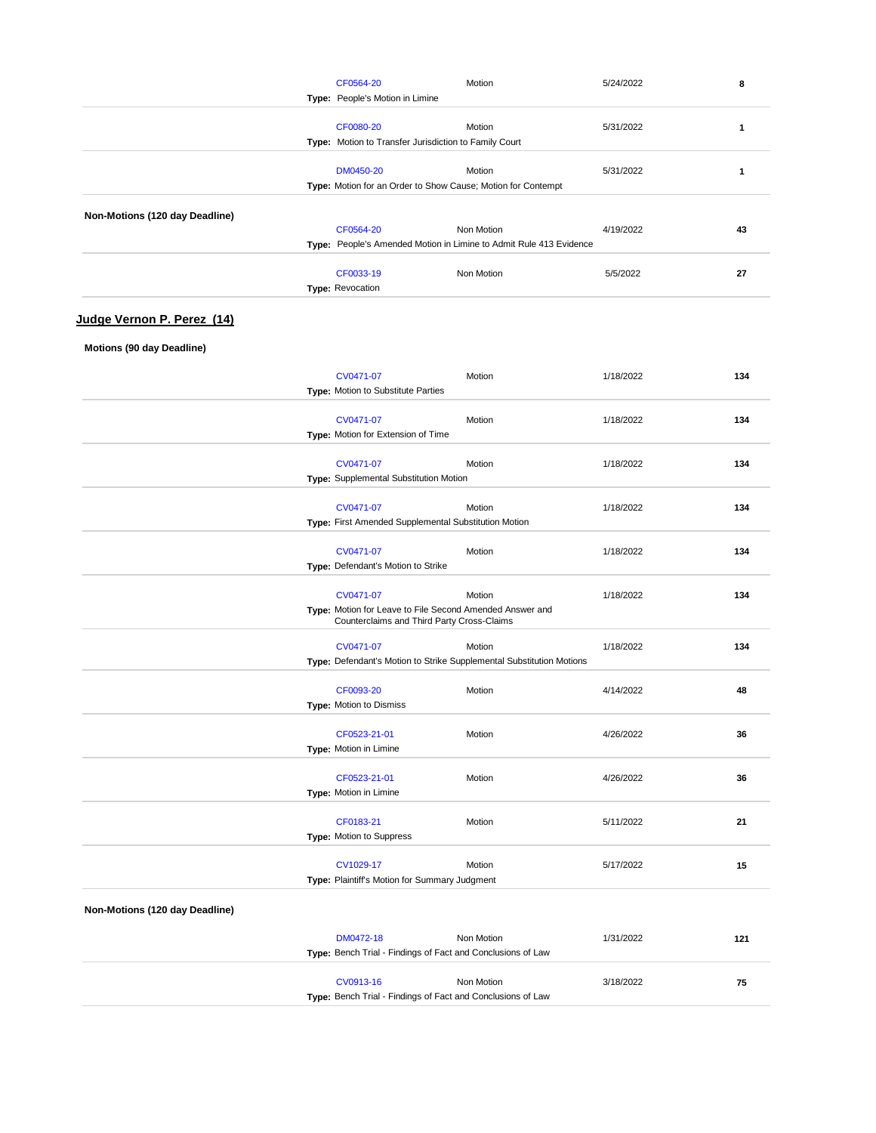|                                   | CF0564-20                                             | Motion                                                                 | 5/24/2022 | 8   |
|-----------------------------------|-------------------------------------------------------|------------------------------------------------------------------------|-----------|-----|
|                                   | Type: People's Motion in Limine                       |                                                                        |           |     |
|                                   | CF0080-20                                             | Motion                                                                 | 5/31/2022 | 1   |
|                                   | Type: Motion to Transfer Jurisdiction to Family Court |                                                                        |           |     |
|                                   |                                                       |                                                                        |           |     |
|                                   | DM0450-20                                             | Motion<br>Type: Motion for an Order to Show Cause; Motion for Contempt | 5/31/2022 | 1   |
|                                   |                                                       |                                                                        |           |     |
| Non-Motions (120 day Deadline)    |                                                       |                                                                        |           |     |
|                                   | CF0564-20                                             | Non Motion                                                             | 4/19/2022 | 43  |
|                                   |                                                       | Type: People's Amended Motion in Limine to Admit Rule 413 Evidence     |           |     |
|                                   | CF0033-19                                             | Non Motion                                                             | 5/5/2022  | 27  |
|                                   | Type: Revocation                                      |                                                                        |           |     |
|                                   |                                                       |                                                                        |           |     |
| <u>Judge Vernon P. Perez (14)</u> |                                                       |                                                                        |           |     |
| Motions (90 day Deadline)         |                                                       |                                                                        |           |     |
|                                   |                                                       |                                                                        |           |     |
|                                   | CV0471-07                                             | Motion                                                                 | 1/18/2022 | 134 |
|                                   | Type: Motion to Substitute Parties                    |                                                                        |           |     |
|                                   | CV0471-07                                             | Motion                                                                 | 1/18/2022 | 134 |
|                                   | <b>Type:</b> Motion for Extension of Time             |                                                                        |           |     |
|                                   |                                                       |                                                                        |           |     |
|                                   | CV0471-07                                             | Motion                                                                 | 1/18/2022 | 134 |
|                                   | <b>Type:</b> Supplemental Substitution Motion         |                                                                        |           |     |
|                                   | CV0471-07                                             | Motion                                                                 | 1/18/2022 | 134 |
|                                   | Type: First Amended Supplemental Substitution Motion  |                                                                        |           |     |
|                                   |                                                       |                                                                        |           |     |
|                                   | CV0471-07<br>Type: Defendant's Motion to Strike       | Motion                                                                 | 1/18/2022 | 134 |
|                                   |                                                       |                                                                        |           |     |
|                                   | CV0471-07                                             | Motion                                                                 | 1/18/2022 | 134 |
|                                   |                                                       | Type: Motion for Leave to File Second Amended Answer and               |           |     |
|                                   | Counterclaims and Third Party Cross-Claims            |                                                                        |           |     |
|                                   | CV0471-07                                             | Motion                                                                 | 1/18/2022 | 134 |
|                                   |                                                       | Type: Defendant's Motion to Strike Supplemental Substitution Motions   |           |     |
|                                   | CF0093-20                                             | Motion                                                                 | 4/14/2022 | 48  |
|                                   | <b>Type: Motion to Dismiss</b>                        |                                                                        |           |     |
|                                   |                                                       |                                                                        |           |     |
|                                   | CF0523-21-01                                          | Motion                                                                 | 4/26/2022 | 36  |
|                                   | Type: Motion in Limine                                |                                                                        |           |     |
|                                   | CF0523-21-01                                          | Motion                                                                 | 4/26/2022 | 36  |
|                                   | Type: Motion in Limine                                |                                                                        |           |     |
|                                   |                                                       |                                                                        |           |     |
|                                   | CF0183-21                                             | Motion                                                                 | 5/11/2022 | 21  |
|                                   | Type: Motion to Suppress                              |                                                                        |           |     |
|                                   | CV1029-17                                             | Motion                                                                 | 5/17/2022 | 15  |
|                                   | Type: Plaintiff's Motion for Summary Judgment         |                                                                        |           |     |
|                                   |                                                       |                                                                        |           |     |
| Non-Motions (120 day Deadline)    |                                                       |                                                                        |           |     |
|                                   | DM0472-18                                             | Non Motion                                                             | 1/31/2022 | 121 |
|                                   |                                                       | Type: Bench Trial - Findings of Fact and Conclusions of Law            |           |     |
|                                   |                                                       |                                                                        |           |     |
|                                   | CV0913-16                                             | Non Motion                                                             | 3/18/2022 | 75  |
|                                   |                                                       | Type: Bench Trial - Findings of Fact and Conclusions of Law            |           |     |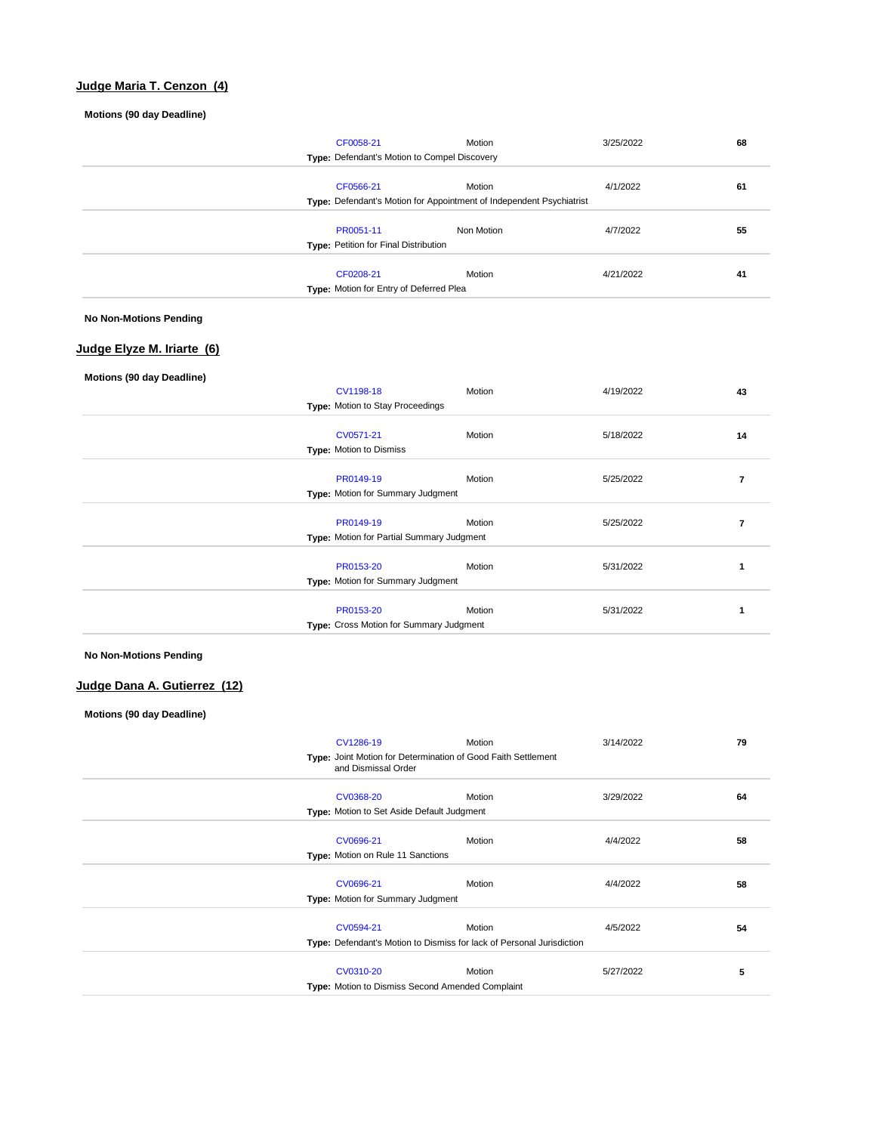## **Judge Maria T. Cenzon (4)**

## **Motions (90 day Deadline)**

|                               | CF0058-21                                      | Motion                                                                  | 3/25/2022 | 68 |
|-------------------------------|------------------------------------------------|-------------------------------------------------------------------------|-----------|----|
|                               | Type: Defendant's Motion to Compel Discovery   |                                                                         |           |    |
|                               | CF0566-21                                      | Motion                                                                  | 4/1/2022  | 61 |
|                               |                                                | Type: Defendant's Motion for Appointment of Independent Psychiatrist    |           |    |
|                               |                                                |                                                                         |           |    |
|                               | PR0051-11                                      | Non Motion                                                              | 4/7/2022  | 55 |
|                               | Type: Petition for Final Distribution          |                                                                         |           |    |
|                               | CF0208-21                                      | Motion                                                                  | 4/21/2022 | 41 |
|                               | Type: Motion for Entry of Deferred Plea        |                                                                         |           |    |
|                               |                                                |                                                                         |           |    |
| <b>No Non-Motions Pending</b> |                                                |                                                                         |           |    |
|                               |                                                |                                                                         |           |    |
| Judge Elyze M. Iriarte (6)    |                                                |                                                                         |           |    |
| Motions (90 day Deadline)     |                                                |                                                                         |           |    |
|                               | CV1198-18                                      | Motion                                                                  | 4/19/2022 | 43 |
|                               | Type: Motion to Stay Proceedings               |                                                                         |           |    |
|                               |                                                |                                                                         |           |    |
|                               | CV0571-21                                      | Motion                                                                  | 5/18/2022 | 14 |
|                               | Type: Motion to Dismiss                        |                                                                         |           |    |
|                               | PR0149-19                                      | Motion                                                                  | 5/25/2022 | 7  |
|                               | Type: Motion for Summary Judgment              |                                                                         |           |    |
|                               |                                                |                                                                         |           |    |
|                               | PR0149-19                                      | Motion                                                                  | 5/25/2022 | 7  |
|                               | Type: Motion for Partial Summary Judgment      |                                                                         |           |    |
|                               | PR0153-20                                      | Motion                                                                  | 5/31/2022 | 1  |
|                               | Type: Motion for Summary Judgment              |                                                                         |           |    |
|                               |                                                |                                                                         |           |    |
|                               | PR0153-20                                      | Motion                                                                  | 5/31/2022 | 1  |
|                               | Type: Cross Motion for Summary Judgment        |                                                                         |           |    |
| <b>No Non-Motions Pending</b> |                                                |                                                                         |           |    |
|                               |                                                |                                                                         |           |    |
| Judge Dana A. Gutierrez (12)  |                                                |                                                                         |           |    |
|                               |                                                |                                                                         |           |    |
| Motions (90 day Deadline)     |                                                |                                                                         |           |    |
|                               |                                                |                                                                         |           |    |
|                               | CV1286-19                                      | Motion<br>Type: Joint Motion for Determination of Good Faith Settlement | 3/14/2022 | 79 |
|                               |                                                |                                                                         |           |    |
|                               | and Dismissal Order                            |                                                                         |           |    |
|                               |                                                |                                                                         |           |    |
|                               | CV0368-20                                      | Motion                                                                  | 3/29/2022 | 64 |
|                               | Type: Motion to Set Aside Default Judgment     |                                                                         |           |    |
|                               |                                                |                                                                         |           |    |
|                               | CV0696-21<br>Type: Motion on Rule 11 Sanctions | Motion                                                                  | 4/4/2022  | 58 |
|                               |                                                |                                                                         |           |    |
|                               | CV0696-21                                      | Motion                                                                  | 4/4/2022  | 58 |
|                               | Type: Motion for Summary Judgment              |                                                                         |           |    |
|                               |                                                |                                                                         |           |    |
|                               | CV0594-21                                      | Motion                                                                  | 4/5/2022  | 54 |
|                               |                                                | Type: Defendant's Motion to Dismiss for lack of Personal Jurisdiction   |           |    |
|                               | CV0310-20                                      | Motion                                                                  | 5/27/2022 | 5  |